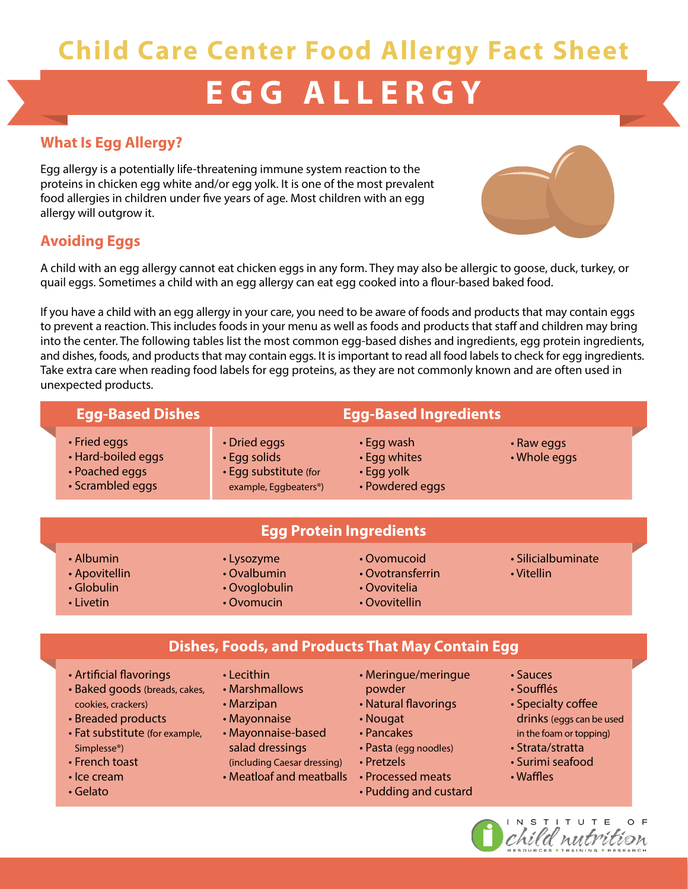# **Child Care Center Food Allergy Fact Sheet**

# **EGG ALLERGY**

# **What Is Egg Allergy?**

Egg allergy is a potentially life-threatening immune system reaction to the proteins in chicken egg white and/or egg yolk. It is one of the most prevalent food allergies in children under five years of age. Most children with an egg allergy will outgrow it.

# **Avoiding Eggs**

A child with an egg allergy cannot eat chicken eggs in any form. They may also be allergic to goose, duck, turkey, or quail eggs. Sometimes a child with an egg allergy can eat egg cooked into a flour-based baked food.

If you have a child with an egg allergy in your care, you need to be aware of foods and products that may contain eggs to prevent a reaction. This includes foods in your menu as well as foods and products that staff and children may bring into the center. The following tables list the most common egg-based dishes and ingredients, egg protein ingredients, and dishes, foods, and products that may contain eggs. It is important to read all food labels to check for egg ingredients. Take extra care when reading food labels for egg proteins, as they are not commonly known and are often used in unexpected products.

|                                | <b>Egg-Based Dishes</b>                                                  |                                                                                             | <b>Egg-Based Ingredients</b>                                      |                                  |  |  |  |  |
|--------------------------------|--------------------------------------------------------------------------|---------------------------------------------------------------------------------------------|-------------------------------------------------------------------|----------------------------------|--|--|--|--|
|                                | • Fried eggs<br>• Hard-boiled eggs<br>• Poached eggs<br>• Scrambled eggs | • Dried eggs<br>• Egg solids<br>• Egg substitute (for<br>example, Eggbeaters <sup>®</sup> ) | $\cdot$ Egg wash<br>• Egg whites<br>• Egg yolk<br>· Powdered eggs | • Raw eggs<br>• Whole eggs       |  |  |  |  |
| <b>Egg Protein Ingredients</b> |                                                                          |                                                                                             |                                                                   |                                  |  |  |  |  |
|                                | • Albumin<br>• Apovitellin                                               | • Lysozyme<br>• Ovalbumin                                                                   | • Ovomucoid<br>• Ovotransferrin                                   | • Silicialbuminate<br>• Vitellin |  |  |  |  |

**Dishes, Foods, and Products That May Contain Egg**

• Globulin

• Artificial flavorings

cookies, crackers) • Breaded products

Simplesse®) • French toast • Ice cream • Gelato

• Baked goods (breads, cakes,

• Fat substitute (for example,

• Livetin

- Lecithin
- Marshmallows
- Marzipan
- Mayonnaise
- Mayonnaise-based salad dressings (including Caesar dressing)
- Meatloaf and meatballs
- Meringue/meringue powder
- Natural flavorings
- Nougat
- Pancakes
- Pasta (egg noodles)
- Pretzels
- Processed meats
- Pudding and custard
- Sauces
- Soufflés
- Specialty coffee drinks (eggs can be used in the foam or topping)
- Strata/stratta
- Surimi seafood
- 
- Waffles





- Ovoglobulin
- Ovomucin
- Ovotransferrin
- Ovovitelia
- Ovovitellin
- Vitellin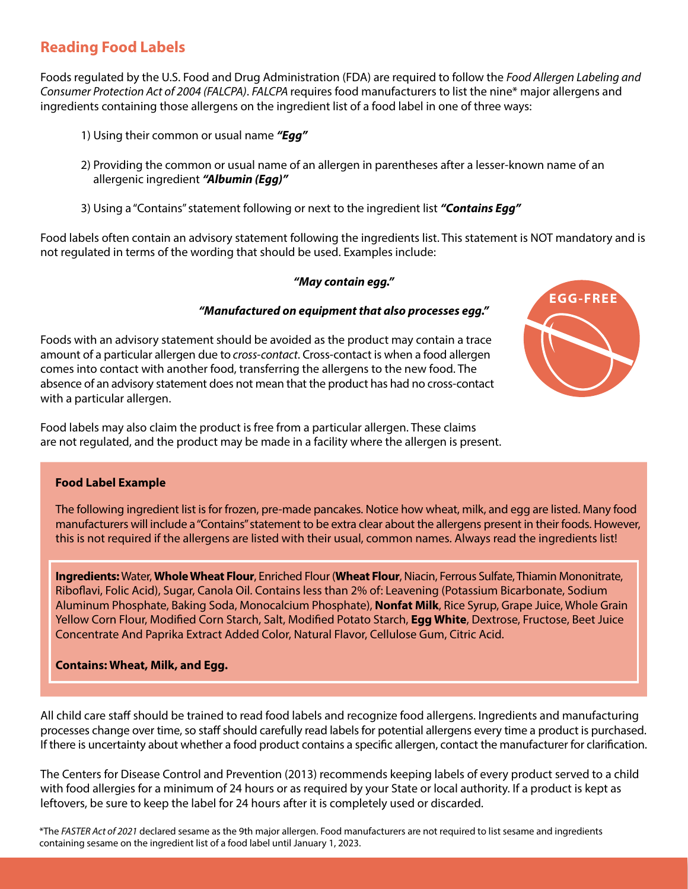# **Reading Food Labels**

Foods regulated by the U.S. Food and Drug Administration (FDA) are required to follow the *Food Allergen Labeling and Consumer Protection Act of 2004 (FALCPA)*. *FALCPA* requires food manufacturers to list the nine\* major allergens and ingredients containing those allergens on the ingredient list of a food label in one of three ways:

- 1) Using their common or usual name *"Egg"*
- 2) Providing the common or usual name of an allergen in parentheses after a lesser-known name of an allergenic ingredient *"Albumin (Egg)"*
- 3) Using a "Contains" statement following or next to the ingredient list *"Contains Egg"*

Food labels often contain an advisory statement following the ingredients list. This statement is NOT mandatory and is not regulated in terms of the wording that should be used. Examples include:

#### *"May contain egg."*

#### *"Manufactured on equipment that also processes egg."*

Foods with an advisory statement should be avoided as the product may contain a trace amount of a particular allergen due to *cross-contact*. Cross-contact is when a food allergen comes into contact with another food, transferring the allergens to the new food. The absence of an advisory statement does not mean that the product has had no cross-contact with a particular allergen.

Food labels may also claim the product is free from a particular allergen. These claims are not regulated, and the product may be made in a facility where the allergen is present.

# **EGG-FREE**

#### **Food Label Example**

 The following ingredient list is for frozen, pre-made pancakes. Notice how wheat, milk, and egg are listed. Many food manufacturers will include a "Contains" statement to be extra clear about the allergens present in their foods. However, this is not required if the allergens are listed with their usual, common names. Always read the ingredients list!

**Ingredients:** Water, **Whole Wheat Flour**, Enriched Flour (**Wheat Flour**, Niacin, Ferrous Sulfate, Thiamin Mononitrate, Riboflavi, Folic Acid), Sugar, Canola Oil. Contains less than 2% of: Leavening (Potassium Bicarbonate, Sodium Aluminum Phosphate, Baking Soda, Monocalcium Phosphate), **Nonfat Milk**, Rice Syrup, Grape Juice, Whole Grain Yellow Corn Flour, Modified Corn Starch, Salt, Modified Potato Starch, **Egg White**, Dextrose, Fructose, Beet Juice Concentrate And Paprika Extract Added Color, Natural Flavor, Cellulose Gum, Citric Acid.

#### **Contains: Wheat, Milk, and Egg.**

All child care staff should be trained to read food labels and recognize food allergens. Ingredients and manufacturing processes change over time, so staff should carefully read labels for potential allergens every time a product is purchased. If there is uncertainty about whether a food product contains a specific allergen, contact the manufacturer for clarification.

The Centers for Disease Control and Prevention (2013) recommends keeping labels of every product served to a child with food allergies for a minimum of 24 hours or as required by your State or local authority. If a product is kept as leftovers, be sure to keep the label for 24 hours after it is completely used or discarded.

\*The *FASTER Act of 2021* declared sesame as the 9th major allergen. Food manufacturers are not required to list sesame and ingredients containing sesame on the ingredient list of a food label until January 1, 2023.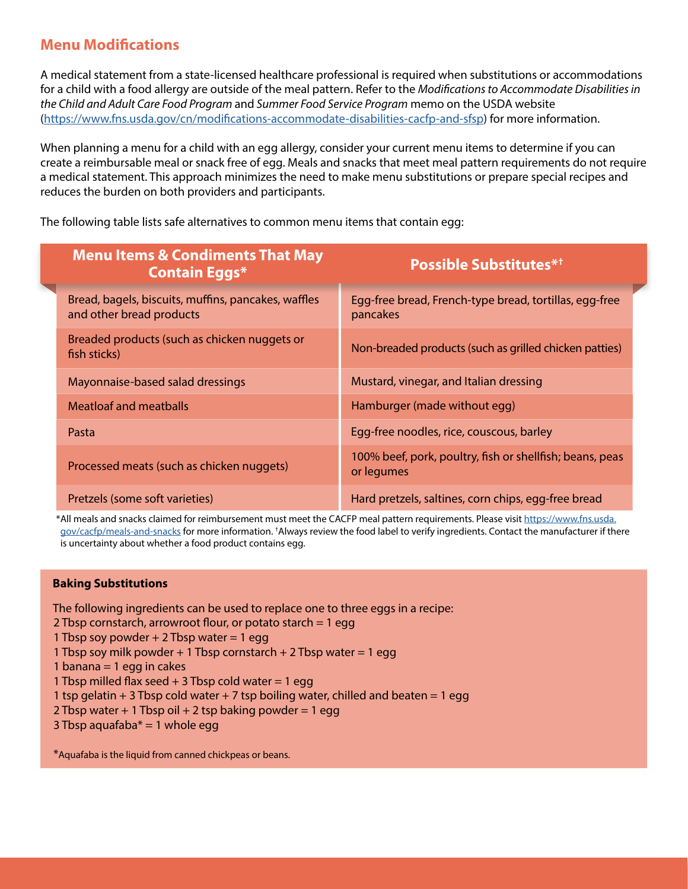## **Menu Modifications**

A medical statement from a state-licensed healthcare professional is required when substitutions or accommodations for a child with a food allergy are outside of the meal pattern. Refer to the *Modifications to Accommodate Disabilities in the Child and Adult Care Food Program* and *Summer Food Service Program* memo on the USDA website [\(https://www.fns.usda.gov/cn/modifications-accommodate-disabilities-cacfp-and-sfsp\)](https://www.fns.usda.gov/cn/modifications-accommodate-disabilities-cacfp-and-sfsp) for more information.

When planning a menu for a child with an egg allergy, consider your current menu items to determine if you can create a reimbursable meal or snack free of egg. Meals and snacks that meet meal pattern requirements do not require a medical statement. This approach minimizes the need to make menu substitutions or prepare special recipes and reduces the burden on both providers and participants.

The following table lists safe alternatives to common menu items that contain egg:

| <b>Menu Items &amp; Condiments That May</b><br><b>Contain Eggs*</b>             | <b>Possible Substitutes**</b>                                          |  |
|---------------------------------------------------------------------------------|------------------------------------------------------------------------|--|
| Bread, bagels, biscuits, muffins, pancakes, waffles<br>and other bread products | Egg-free bread, French-type bread, tortillas, egg-free<br>pancakes     |  |
| Breaded products (such as chicken nuggets or<br>fish sticks)                    | Non-breaded products (such as grilled chicken patties)                 |  |
| Mayonnaise-based salad dressings                                                | Mustard, vinegar, and Italian dressing                                 |  |
| <b>Meatloaf and meatballs</b>                                                   | Hamburger (made without egg)                                           |  |
| Pasta                                                                           | Egg-free noodles, rice, couscous, barley                               |  |
| Processed meats (such as chicken nuggets)                                       | 100% beef, pork, poultry, fish or shellfish; beans, peas<br>or legumes |  |
| Pretzels (some soft varieties)                                                  | Hard pretzels, saltines, corn chips, egg-free bread                    |  |

\*All meals and snacks claimed for reimbursement must meet the CACFP meal pattern requirements. Please visit [https://www.fns.usda.](https://www.fns.usda.gov/cacfp/meals-and-snacks) [gov/cacfp/meals-and-snacks](https://www.fns.usda.gov/cacfp/meals-and-snacks) for more information. <sup>†</sup>Always review the food label to verify ingredients. Contact the manufacturer if there is uncertainty about whether a food product contains egg.

#### **Baking Substitutions**

The following ingredients can be used to replace one to three eggs in a recipe:

- 2 Tbsp cornstarch, arrowroot flour, or potato starch = 1 egg
- 1 Tbsp soy powder  $+ 2$  Tbsp water  $= 1$  egg
- 1 Tbsp soy milk powder + 1 Tbsp cornstarch + 2 Tbsp water = 1 eqq
- 1 banana  $=$  1 egg in cakes

1 Tbsp milled flax seed  $+$  3 Tbsp cold water  $=$  1 egg

- 1 tsp gelatin  $+3$  Tbsp cold water  $+7$  tsp boiling water, chilled and beaten = 1 egg
- 2 Tbsp water  $+1$  Tbsp oil  $+2$  tsp baking powder = 1 egg
- 3 Tbsp aquafaba $* = 1$  whole egg

\*Aquafaba is the liquid from canned chickpeas or beans.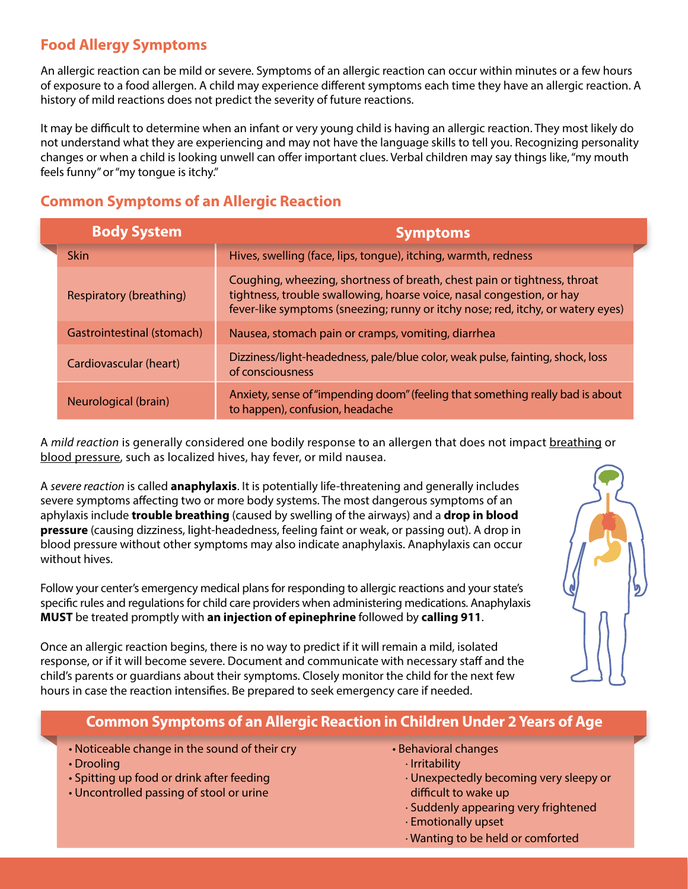# **Food Allergy Symptoms**

An allergic reaction can be mild or severe. Symptoms of an allergic reaction can occur within minutes or a few hours of exposure to a food allergen. A child may experience different symptoms each time they have an allergic reaction. A history of mild reactions does not predict the severity of future reactions.

It may be difficult to determine when an infant or very young child is having an allergic reaction. They most likely do not understand what they are experiencing and may not have the language skills to tell you. Recognizing personality changes or when a child is looking unwell can offer important clues. Verbal children may say things like, "my mouth feels funny" or "my tongue is itchy."

# **Common Symptoms of an Allergic Reaction**

| <b>Body System</b>             | <b>Symptoms</b>                                                                                                                                                                                                                      |
|--------------------------------|--------------------------------------------------------------------------------------------------------------------------------------------------------------------------------------------------------------------------------------|
| <b>Skin</b>                    | Hives, swelling (face, lips, tongue), itching, warmth, redness                                                                                                                                                                       |
| <b>Respiratory (breathing)</b> | Coughing, wheezing, shortness of breath, chest pain or tightness, throat<br>tightness, trouble swallowing, hoarse voice, nasal congestion, or hay<br>fever-like symptoms (sneezing; runny or itchy nose; red, itchy, or watery eyes) |
| Gastrointestinal (stomach)     | Nausea, stomach pain or cramps, vomiting, diarrhea                                                                                                                                                                                   |
| Cardiovascular (heart)         | Dizziness/light-headedness, pale/blue color, weak pulse, fainting, shock, loss<br>of consciousness                                                                                                                                   |
| Neurological (brain)           | Anxiety, sense of "impending doom" (feeling that something really bad is about<br>to happen), confusion, headache                                                                                                                    |

A *mild reaction* is generally considered one bodily response to an allergen that does not impact breathing or blood pressure, such as localized hives, hay fever, or mild nausea.

A *severe reaction* is called **anaphylaxis**. It is potentially life-threatening and generally includes severe symptoms affecting two or more body systems. The most dangerous symptoms of an aphylaxis include **trouble breathing** (caused by swelling of the airways) and a **drop in blood pressure** (causing dizziness, light-headedness, feeling faint or weak, or passing out). A drop in blood pressure without other symptoms may also indicate anaphylaxis. Anaphylaxis can occur without hives.

Follow your center's emergency medical plans for responding to allergic reactions and your state's specific rules and regulations for child care providers when administering medications. Anaphylaxis **MUST** be treated promptly with **an injection of epinephrine** followed by **calling 911**.

Once an allergic reaction begins, there is no way to predict if it will remain a mild, isolated response, or if it will become severe. Document and communicate with necessary staff and the child's parents or guardians about their symptoms. Closely monitor the child for the next few hours in case the reaction intensifies. Be prepared to seek emergency care if needed.



## **Common Symptoms of an Allergic Reaction in Children Under 2 Years of Age**

- Noticeable change in the sound of their cry
- Drooling
- Spitting up food or drink after feeding
- Uncontrolled passing of stool or urine
- Behavioral changes
	- ∙ Irritability
	- ∙ Unexpectedly becoming very sleepy or difficult to wake up
	- ∙ Suddenly appearing very frightened
	- ∙ Emotionally upset
	- ∙ Wanting to be held or comforted